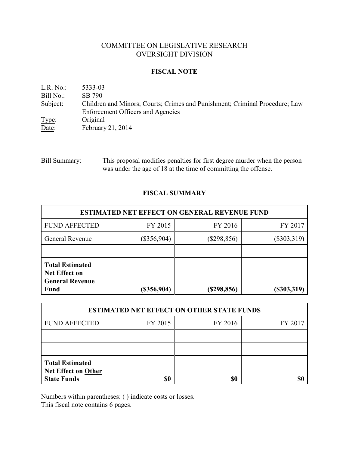# COMMITTEE ON LEGISLATIVE RESEARCH OVERSIGHT DIVISION

### **FISCAL NOTE**

| L.R. No.: | 5333-03                                                                     |
|-----------|-----------------------------------------------------------------------------|
| Bill No.: | SB 790                                                                      |
| Subject:  | Children and Minors; Courts; Crimes and Punishment; Criminal Procedure; Law |
|           | <b>Enforcement Officers and Agencies</b>                                    |
| Type:     | Original                                                                    |
| Date:     | February 21, 2014                                                           |

Bill Summary: This proposal modifies penalties for first degree murder when the person was under the age of 18 at the time of committing the offense.

## **FISCAL SUMMARY**

| <b>ESTIMATED NET EFFECT ON GENERAL REVENUE FUND</b>                                     |               |               |               |  |
|-----------------------------------------------------------------------------------------|---------------|---------------|---------------|--|
| <b>FUND AFFECTED</b>                                                                    | FY 2015       | FY 2016       | FY 2017       |  |
| General Revenue                                                                         | $(\$356,904)$ | $(\$298,856)$ | $(\$303,319)$ |  |
|                                                                                         |               |               |               |  |
| <b>Total Estimated</b><br><b>Net Effect on</b><br><b>General Revenue</b><br><b>Fund</b> | $(\$356,904)$ | $(\$298,856)$ | $(\$303,319)$ |  |

| <b>ESTIMATED NET EFFECT ON OTHER STATE FUNDS</b>                           |         |         |         |  |
|----------------------------------------------------------------------------|---------|---------|---------|--|
| <b>FUND AFFECTED</b>                                                       | FY 2015 | FY 2016 | FY 2017 |  |
|                                                                            |         |         |         |  |
|                                                                            |         |         |         |  |
| <b>Total Estimated</b><br><b>Net Effect on Other</b><br><b>State Funds</b> | \$0     | \$0     |         |  |

Numbers within parentheses: ( ) indicate costs or losses.

This fiscal note contains 6 pages.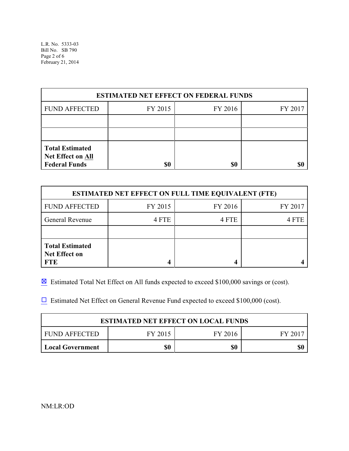L.R. No. 5333-03 Bill No. SB 790 Page 2 of 6 February 21, 2014

| <b>ESTIMATED NET EFFECT ON FEDERAL FUNDS</b>                        |         |         |         |  |
|---------------------------------------------------------------------|---------|---------|---------|--|
| <b>FUND AFFECTED</b>                                                | FY 2015 | FY 2016 | FY 2017 |  |
|                                                                     |         |         |         |  |
|                                                                     |         |         |         |  |
| <b>Total Estimated</b><br>Net Effect on All<br><b>Federal Funds</b> | \$0     | \$0     |         |  |

| <b>ESTIMATED NET EFFECT ON FULL TIME EQUIVALENT (FTE)</b>    |         |         |         |  |  |
|--------------------------------------------------------------|---------|---------|---------|--|--|
| <b>FUND AFFECTED</b>                                         | FY 2015 | FY 2016 | FY 2017 |  |  |
| <b>General Revenue</b>                                       | 4 FTE   | 4 FTE   | 4 FTE   |  |  |
|                                                              |         |         |         |  |  |
| <b>Total Estimated</b><br><b>Net Effect on</b><br><b>FTE</b> |         |         |         |  |  |

 $\boxtimes$  Estimated Total Net Effect on All funds expected to exceed \$100,000 savings or (cost).

 $\Box$  Estimated Net Effect on General Revenue Fund expected to exceed \$100,000 (cost).

| <b>ESTIMATED NET EFFECT ON LOCAL FUNDS</b> |         |         |       |  |
|--------------------------------------------|---------|---------|-------|--|
| FUND AFFECTED                              | FY 2015 | FY 2016 | FY 20 |  |
| <b>Local Government</b>                    | \$0     | \$0     | \$(   |  |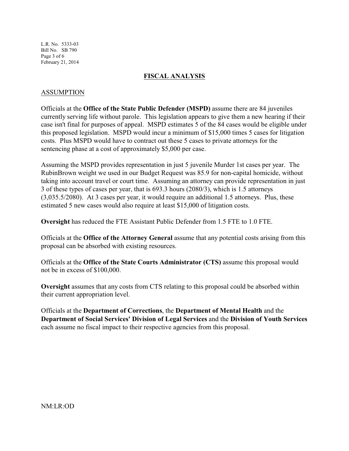L.R. No. 5333-03 Bill No. SB 790 Page 3 of 6 February 21, 2014

### **FISCAL ANALYSIS**

### ASSUMPTION

Officials at the **Office of the State Public Defender (MSPD)** assume there are 84 juveniles currently serving life without parole. This legislation appears to give them a new hearing if their case isn't final for purposes of appeal. MSPD estimates 5 of the 84 cases would be eligible under this proposed legislation. MSPD would incur a minimum of \$15,000 times 5 cases for litigation costs. Plus MSPD would have to contract out these 5 cases to private attorneys for the sentencing phase at a cost of approximately \$5,000 per case.

Assuming the MSPD provides representation in just 5 juvenile Murder 1st cases per year. The RubinBrown weight we used in our Budget Request was 85.9 for non-capital homicide, without taking into account travel or court time. Assuming an attorney can provide representation in just 3 of these types of cases per year, that is 693.3 hours (2080/3), which is 1.5 attorneys (3,035.5/2080). At 3 cases per year, it would require an additional 1.5 attorneys. Plus, these estimated 5 new cases would also require at least \$15,000 of litigation costs.

**Oversight** has reduced the FTE Assistant Public Defender from 1.5 FTE to 1.0 FTE.

Officials at the **Office of the Attorney General** assume that any potential costs arising from this proposal can be absorbed with existing resources.

Officials at the **Office of the State Courts Administrator (CTS)** assume this proposal would not be in excess of \$100,000.

**Oversight** assumes that any costs from CTS relating to this proposal could be absorbed within their current appropriation level.

Officials at the **Department of Corrections**, the **Department of Mental Health** and the **Department of Social Services' Division of Legal Services** and the **Division of Youth Services** each assume no fiscal impact to their respective agencies from this proposal.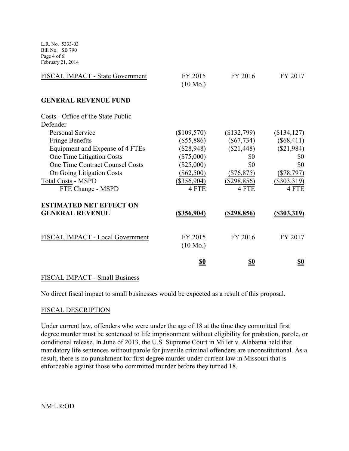L.R. No. 5333-03 Bill No. SB 790 Page 4 of 6 February 21, 2014

| FISCAL IMPACT - State Government               | FY 2015<br>$(10 \text{ Mo.})$ | FY 2016            | FY 2017        |
|------------------------------------------------|-------------------------------|--------------------|----------------|
| <b>GENERAL REVENUE FUND</b>                    |                               |                    |                |
| Costs - Office of the State Public<br>Defender |                               |                    |                |
| <b>Personal Service</b>                        | (\$109,570)                   | \$132,799          | (\$134,127)    |
| <b>Fringe Benefits</b>                         | $(\$55,886)$                  | $(\$67,734)$       | $(\$68,411)$   |
| Equipment and Expense of 4 FTEs                | $(\$28,948)$                  | $(\$21,448)$       | (\$21,984)     |
| One Time Litigation Costs                      | $(\$75,000)$                  | \$0                | \$0            |
| <b>One Time Contract Counsel Costs</b>         | $(\$25,000)$                  | \$0                | \$0            |
| On Going Litigation Costs                      | $(\$62,500)$                  | $(\$76,875)$       | $(\$78,797)$   |
| <b>Total Costs - MSPD</b>                      | $(\$356,904)$                 | $(\$298,856)$      | $(\$303,319)$  |
| FTE Change - MSPD                              | 4 FTE                         | 4 FTE              | 4 FTE          |
| <b>ESTIMATED NET EFFECT ON</b>                 |                               |                    |                |
| <b>GENERAL REVENUE</b>                         | $(\$356,904)$                 | <u>(\$298,856)</u> | $($ \$303,319) |
| FISCAL IMPACT - Local Government               | FY 2015<br>$(10 \text{ Mo.})$ | FY 2016            | FY 2017        |
|                                                | <u>\$0</u>                    | \$0                | <u>\$0</u>     |

#### FISCAL IMPACT - Small Business

No direct fiscal impact to small businesses would be expected as a result of this proposal.

#### FISCAL DESCRIPTION

Under current law, offenders who were under the age of 18 at the time they committed first degree murder must be sentenced to life imprisonment without eligibility for probation, parole, or conditional release. In June of 2013, the U.S. Supreme Court in Miller v. Alabama held that mandatory life sentences without parole for juvenile criminal offenders are unconstitutional. As a result, there is no punishment for first degree murder under current law in Missouri that is enforceable against those who committed murder before they turned 18.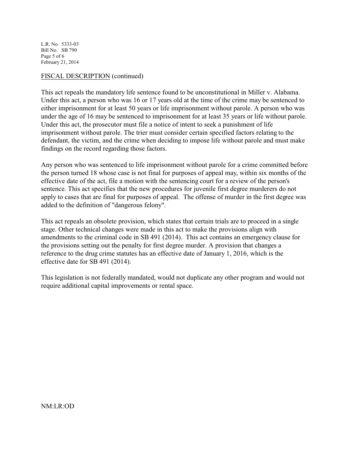L.R. No. 5333-03 Bill No. SB 790 Page 5 of 6 February 21, 2014

### FISCAL DESCRIPTION (continued)

This act repeals the mandatory life sentence found to be unconstitutional in Miller v. Alabama. Under this act, a person who was 16 or 17 years old at the time of the crime may be sentenced to either imprisonment for at least 50 years or life imprisonment without parole. A person who was under the age of 16 may be sentenced to imprisonment for at least 35 years or life without parole. Under this act, the prosecutor must file a notice of intent to seek a punishment of life imprisonment without parole. The trier must consider certain specified factors relating to the defendant, the victim, and the crime when deciding to impose life without parole and must make findings on the record regarding those factors.

Any person who was sentenced to life imprisonment without parole for a crime committed before the person turned 18 whose case is not final for purposes of appeal may, within six months of the effective date of the act, file a motion with the sentencing court for a review of the person's sentence. This act specifies that the new procedures for juvenile first degree murderers do not apply to cases that are final for purposes of appeal. The offense of murder in the first degree was added to the definition of "dangerous felony".

This act repeals an obsolete provision, which states that certain trials are to proceed in a single stage. Other technical changes were made in this act to make the provisions align with amendments to the criminal code in SB 491 (2014). This act contains an emergency clause for the provisions setting out the penalty for first degree murder. A provision that changes a reference to the drug crime statutes has an effective date of January 1, 2016, which is the effective date for SB 491 (2014).

This legislation is not federally mandated, would not duplicate any other program and would not require additional capital improvements or rental space.